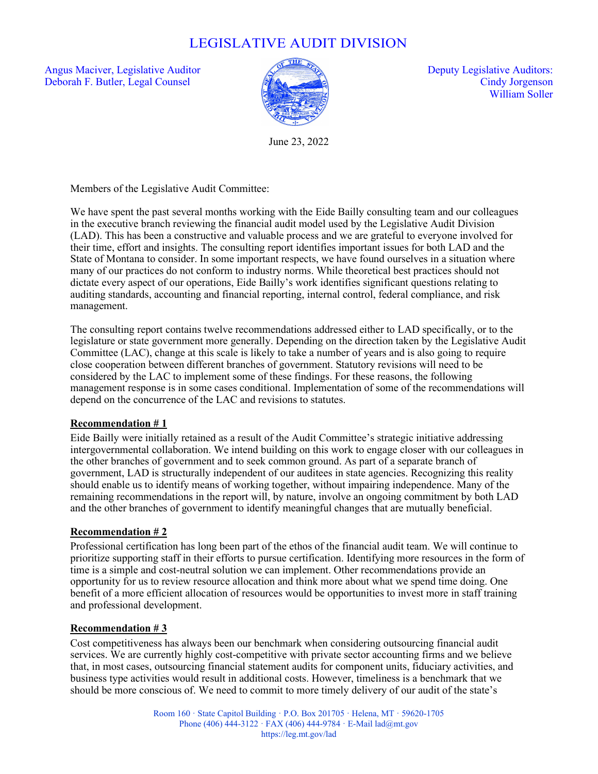# LEGISLATIVE AUDIT DIVISION

Angus Maciver, Legislative Auditor  $\sqrt{2}$  and  $\sqrt{2}$  Deputy Legislative Auditors: Deborah F. Butler, Legal Counsel Cindy Jorgenson



William Soller

June 23, 2022

Members of the Legislative Audit Committee:

We have spent the past several months working with the Eide Bailly consulting team and our colleagues in the executive branch reviewing the financial audit model used by the Legislative Audit Division (LAD). This has been a constructive and valuable process and we are grateful to everyone involved for their time, effort and insights. The consulting report identifies important issues for both LAD and the State of Montana to consider. In some important respects, we have found ourselves in a situation where many of our practices do not conform to industry norms. While theoretical best practices should not dictate every aspect of our operations, Eide Bailly's work identifies significant questions relating to auditing standards, accounting and financial reporting, internal control, federal compliance, and risk management.

The consulting report contains twelve recommendations addressed either to LAD specifically, or to the legislature or state government more generally. Depending on the direction taken by the Legislative Audit Committee (LAC), change at this scale is likely to take a number of years and is also going to require close cooperation between different branches of government. Statutory revisions will need to be considered by the LAC to implement some of these findings. For these reasons, the following management response is in some cases conditional. Implementation of some of the recommendations will depend on the concurrence of the LAC and revisions to statutes.

## **Recommendation # 1**

Eide Bailly were initially retained as a result of the Audit Committee's strategic initiative addressing intergovernmental collaboration. We intend building on this work to engage closer with our colleagues in the other branches of government and to seek common ground. As part of a separate branch of government, LAD is structurally independent of our auditees in state agencies. Recognizing this reality should enable us to identify means of working together, without impairing independence. Many of the remaining recommendations in the report will, by nature, involve an ongoing commitment by both LAD and the other branches of government to identify meaningful changes that are mutually beneficial.

## **Recommendation # 2**

Professional certification has long been part of the ethos of the financial audit team. We will continue to prioritize supporting staff in their efforts to pursue certification. Identifying more resources in the form of time is a simple and cost-neutral solution we can implement. Other recommendations provide an opportunity for us to review resource allocation and think more about what we spend time doing. One benefit of a more efficient allocation of resources would be opportunities to invest more in staff training and professional development.

## **Recommendation # 3**

Cost competitiveness has always been our benchmark when considering outsourcing financial audit services. We are currently highly cost-competitive with private sector accounting firms and we believe that, in most cases, outsourcing financial statement audits for component units, fiduciary activities, and business type activities would result in additional costs. However, timeliness is a benchmark that we should be more conscious of. We need to commit to more timely delivery of our audit of the state's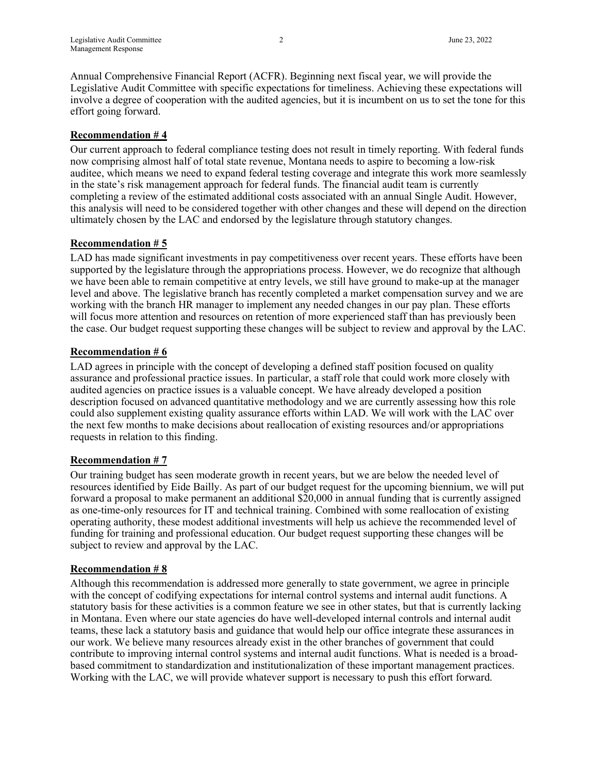Annual Comprehensive Financial Report (ACFR). Beginning next fiscal year, we will provide the Legislative Audit Committee with specific expectations for timeliness. Achieving these expectations will involve a degree of cooperation with the audited agencies, but it is incumbent on us to set the tone for this effort going forward.

## **Recommendation # 4**

Our current approach to federal compliance testing does not result in timely reporting. With federal funds now comprising almost half of total state revenue, Montana needs to aspire to becoming a low-risk auditee, which means we need to expand federal testing coverage and integrate this work more seamlessly in the state's risk management approach for federal funds. The financial audit team is currently completing a review of the estimated additional costs associated with an annual Single Audit. However, this analysis will need to be considered together with other changes and these will depend on the direction ultimately chosen by the LAC and endorsed by the legislature through statutory changes.

#### **Recommendation # 5**

LAD has made significant investments in pay competitiveness over recent years. These efforts have been supported by the legislature through the appropriations process. However, we do recognize that although we have been able to remain competitive at entry levels, we still have ground to make-up at the manager level and above. The legislative branch has recently completed a market compensation survey and we are working with the branch HR manager to implement any needed changes in our pay plan. These efforts will focus more attention and resources on retention of more experienced staff than has previously been the case. Our budget request supporting these changes will be subject to review and approval by the LAC.

#### **Recommendation # 6**

LAD agrees in principle with the concept of developing a defined staff position focused on quality assurance and professional practice issues. In particular, a staff role that could work more closely with audited agencies on practice issues is a valuable concept. We have already developed a position description focused on advanced quantitative methodology and we are currently assessing how this role could also supplement existing quality assurance efforts within LAD. We will work with the LAC over the next few months to make decisions about reallocation of existing resources and/or appropriations requests in relation to this finding.

## **Recommendation # 7**

Our training budget has seen moderate growth in recent years, but we are below the needed level of resources identified by Eide Bailly. As part of our budget request for the upcoming biennium, we will put forward a proposal to make permanent an additional \$20,000 in annual funding that is currently assigned as one-time-only resources for IT and technical training. Combined with some reallocation of existing operating authority, these modest additional investments will help us achieve the recommended level of funding for training and professional education. Our budget request supporting these changes will be subject to review and approval by the LAC.

#### **Recommendation # 8**

Although this recommendation is addressed more generally to state government, we agree in principle with the concept of codifying expectations for internal control systems and internal audit functions. A statutory basis for these activities is a common feature we see in other states, but that is currently lacking in Montana. Even where our state agencies do have well-developed internal controls and internal audit teams, these lack a statutory basis and guidance that would help our office integrate these assurances in our work. We believe many resources already exist in the other branches of government that could contribute to improving internal control systems and internal audit functions. What is needed is a broadbased commitment to standardization and institutionalization of these important management practices. Working with the LAC, we will provide whatever support is necessary to push this effort forward.